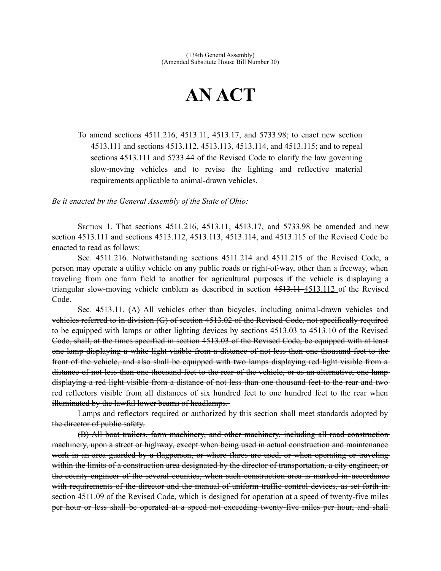## **AN ACT**

To amend sections 4511.216, 4513.11, 4513.17, and 5733.98; to enact new section 4513.111 and sections 4513.112, 4513.113, 4513.114, and 4513.115; and to repeal sections 4513.111 and 5733.44 of the Revised Code to clarify the law governing slow-moving vehicles and to revise the lighting and reflective material requirements applicable to animal-drawn vehicles.

*Be it enacted by the General Assembly of the State of Ohio:*

SECTION 1. That sections 4511.216, 4513.11, 4513.17, and 5733.98 be amended and new section 4513.111 and sections 4513.112, 4513.113, 4513.114, and 4513.115 of the Revised Code be enacted to read as follows:

Sec. 4511.216. Notwithstanding sections 4511.214 and 4511.215 of the Revised Code, a person may operate a utility vehicle on any public roads or right-of-way, other than a freeway, when traveling from one farm field to another for agricultural purposes if the vehicle is displaying a triangular slow-moving vehicle emblem as described in section 4513.114 4513.112 of the Revised Code.

Sec. 4513.11. (A) All vehicles other than bicycles, including animal-drawn vehicles and vehicles referred to in division (G) of section 4513.02 of the Revised Code, not specifically required to be equipped with lamps or other lighting devices by sections 4513.03 to 4513.10 of the Revised Code, shall, at the times specified in section 4513.03 of the Revised Code, be equipped with at least one lamp displaying a white light visible from a distance of not less than one thousand feet to the front of the vehicle, and also shall be equipped with two lamps displaying red light visible from a distance of not less than one thousand feet to the rear of the vehicle, or as an alternative, one lamp displaying a red light visible from a distance of not less than one thousand feet to the rear and two red reflectors visible from all distances of six hundred feet to one hundred feet to the rear whenilluminated by the lawful lower beams of headlamps.

Lamps and reflectors required or authorized by this section shall meet standards adopted by the director of public safety.

(B) All boat trailers, farm machinery, and other machinery, including all road construction machinery, upon a street or highway, except when being used in actual construction and maintenance work in an area guarded by a flagperson, or where flares are used, or when operating or traveling within the limits of a construction area designated by the director of transportation, a city engineer, or the county engineer of the several counties, when such construction area is marked in accordance with requirements of the director and the manual of uniform traffic control devices, as set forth in section 4511.09 of the Revised Code, which is designed for operation at a speed of twenty-five miles per hour or less shall be operated at a speed not exceeding twenty-five miles per hour, and shall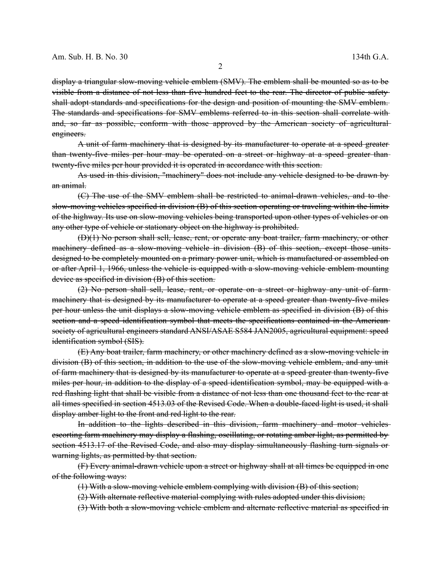display a triangular slow-moving vehicle emblem (SMV). The emblem shall be mounted so as to be visible from a distance of not less than five hundred feet to the rear. The director of public safety shall adopt standards and specifications for the design and position of mounting the SMV emblem. The standards and specifications for SMV emblems referred to in this section shall correlate with and, so far as possible, conform with those approved by the American society of agricultural engineers.

A unit of farm machinery that is designed by its manufacturer to operate at a speed greater than twenty-five miles per hour may be operated on a street or highway at a speed greater thantwenty-five miles per hour provided it is operated in accordance with this section.

As used in this division, "machinery" does not include any vehicle designed to be drawn by an animal.

(C) The use of the SMV emblem shall be restricted to animal-drawn vehicles, and to the slow-moving vehicles specified in division (B) of this section operating or traveling within the limits of the highway. Its use on slow-moving vehicles being transported upon other types of vehicles or on any other type of vehicle or stationary object on the highway is prohibited.

(D)(1) No person shall sell, lease, rent, or operate any boat trailer, farm machinery, or other machinery defined as a slow-moving vehicle in division (B) of this section, except those unitsdesigned to be completely mounted on a primary power unit, which is manufactured or assembled on or after April 1, 1966, unless the vehicle is equipped with a slow-moving vehicle emblem mounting device as specified in division (B) of this section.

(2) No person shall sell, lease, rent, or operate on a street or highway any unit of farm machinery that is designed by its manufacturer to operate at a speed greater than twenty-five miles per hour unless the unit displays a slow-moving vehicle emblem as specified in division (B) of this section and a speed identification symbol that meets the specifications contained in the Americansociety of agricultural engineers standard ANSI/ASAE S584 JAN2005, agricultural equipment: speed identification symbol (SIS).

(E) Any boat trailer, farm machinery, or other machinery defined as a slow-moving vehicle in division (B) of this section, in addition to the use of the slow-moving vehicle emblem, and any unit of farm machinery that is designed by its manufacturer to operate at a speed greater than twenty-five miles per hour, in addition to the display of a speed identification symbol, may be equipped with a red flashing light that shall be visible from a distance of not less than one thousand feet to the rear at all times specified in section 4513.03 of the Revised Code. When a double-faced light is used, it shall display amber light to the front and red light to the rear.

In addition to the lights described in this division, farm machinery and motor vehicles escorting farm machinery may display a flashing, oscillating, or rotating amber light, as permitted by section 4513.17 of the Revised Code, and also may display simultaneously flashing turn signals or warning lights, as permitted by that section.

(F) Every animal-drawn vehicle upon a street or highway shall at all times be equipped in one of the following ways:

(1) With a slow-moving vehicle emblem complying with division (B) of this section;

(2) With alternate reflective material complying with rules adopted under this division;

(3) With both a slow-moving vehicle emblem and alternate reflective material as specified in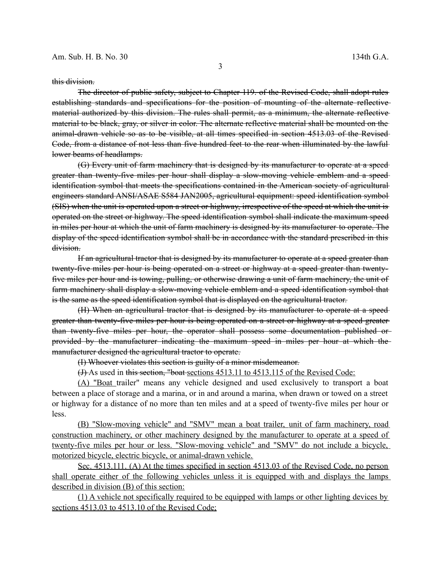this division.

The director of public safety, subject to Chapter 119. of the Revised Code, shall adopt rules establishing standards and specifications for the position of mounting of the alternate reflective material authorized by this division. The rules shall permit, as a minimum, the alternate reflective material to be black, gray, or silver in color. The alternate reflective material shall be mounted on the animal-drawn vehicle so as to be visible, at all times specified in section 4513.03 of the Revised Code, from a distance of not less than five hundred feet to the rear when illuminated by the lawful lower beams of headlamps.

(G) Every unit of farm machinery that is designed by its manufacturer to operate at a speed greater than twenty-five miles per hour shall display a slow-moving vehicle emblem and a speed identification symbol that meets the specifications contained in the American society of agricultural engineers standard ANSI/ASAE S584 JAN2005, agricultural equipment: speed identification symbol (SIS) when the unit is operated upon a street or highway, irrespective of the speed at which the unit is operated on the street or highway. The speed identification symbol shall indicate the maximum speed in miles per hour at which the unit of farm machinery is designed by its manufacturer to operate. The display of the speed identification symbol shall be in accordance with the standard prescribed in this division.

If an agricultural tractor that is designed by its manufacturer to operate at a speed greater than twenty-five miles per hour is being operated on a street or highway at a speed greater than twentyfive miles per hour and is towing, pulling, or otherwise drawing a unit of farm machinery, the unit of farm machinery shall display a slow-moving vehicle emblem and a speed identification symbol that is the same as the speed identification symbol that is displayed on the agricultural tractor.

(H) When an agricultural tractor that is designed by its manufacturer to operate at a speed greater than twenty-five miles per hour is being operated on a street or highway at a speed greater than twenty-five miles per hour, the operator shall possess some documentation published or provided by the manufacturer indicating the maximum speed in miles per hour at which the manufacturer designed the agricultural tractor to operate.

(I) Whoever violates this section is guilty of a minor misdemeanor.

(J) As used in this section, "boat sections 4513.11 to 4513.115 of the Revised Code:

(A) "Boat trailer" means any vehicle designed and used exclusively to transport a boat between a place of storage and a marina, or in and around a marina, when drawn or towed on a street or highway for a distance of no more than ten miles and at a speed of twenty-five miles per hour or less.

 (B) "Slow-moving vehicle" and "SMV" mean a boat trailer, unit of farm machinery, road construction machinery, or other machinery designed by the manufacturer to operate at a speed of twenty-five miles per hour or less. "Slow-moving vehicle" and "SMV" do not include a bicycle, motorized bicycle, electric bicycle, or animal-drawn vehicle.

 Sec. 4513.111. (A) At the times specified in section 4513.03 of the Revised Code, no person shall operate either of the following vehicles unless it is equipped with and displays the lamps described in division (B) of this section:

(1) A vehicle not specifically required to be equipped with lamps or other lighting devices by sections 4513.03 to 4513.10 of the Revised Code;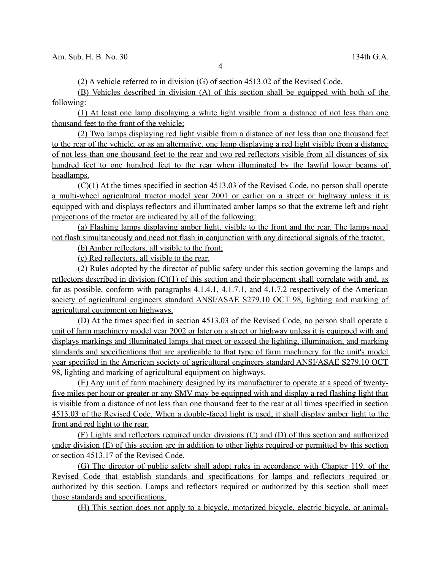(2) A vehicle referred to in division (G) of section 4513.02 of the Revised Code.

(B) Vehicles described in division (A) of this section shall be equipped with both of the following:

(1) At least one lamp displaying a white light visible from a distance of not less than one thousand feet to the front of the vehicle;

(2) Two lamps displaying red light visible from a distance of not less than one thousand feet to the rear of the vehicle, or as an alternative, one lamp displaying a red light visible from a distance of not less than one thousand feet to the rear and two red reflectors visible from all distances of six hundred feet to one hundred feet to the rear when illuminated by the lawful lower beams of headlamps.

(C)(1) At the times specified in section 4513.03 of the Revised Code, no person shall operate a multi-wheel agricultural tractor model year 2001 or earlier on a street or highway unless it is equipped with and displays reflectors and illuminated amber lamps so that the extreme left and right projections of the tractor are indicated by all of the following:

(a) Flashing lamps displaying amber light, visible to the front and the rear. The lamps need not flash simultaneously and need not flash in conjunction with any directional signals of the tractor.

(b) Amber reflectors, all visible to the front;

(c) Red reflectors, all visible to the rear.

(2) Rules adopted by the director of public safety under this section governing the lamps and reflectors described in division  $(C)(1)$  of this section and their placement shall correlate with and, as far as possible, conform with paragraphs 4.1.4.1, 4.1.7.1, and 4.1.7.2 respectively of the American society of agricultural engineers standard ANSI/ASAE S279.10 OCT 98, lighting and marking of agricultural equipment on highways.

(D) At the times specified in section 4513.03 of the Revised Code, no person shall operate a unit of farm machinery model year 2002 or later on a street or highway unless it is equipped with and displays markings and illuminated lamps that meet or exceed the lighting, illumination, and marking standards and specifications that are applicable to that type of farm machinery for the unit's model year specified in the American society of agricultural engineers standard ANSI/ASAE S279.10 OCT 98, lighting and marking of agricultural equipment on highways.

 (E) Any unit of farm machinery designed by its manufacturer to operate at a speed of twentyfive miles per hour or greater or any SMV may be equipped with and display a red flashing light that is visible from a distance of not less than one thousand feet to the rear at all times specified in section 4513.03 of the Revised Code. When a double-faced light is used, it shall display amber light to the front and red light to the rear.

(F) Lights and reflectors required under divisions (C) and (D) of this section and authorized under division (E) of this section are in addition to other lights required or permitted by this section or section 4513.17 of the Revised Code.

(G) The director of public safety shall adopt rules in accordance with Chapter 119. of the Revised Code that establish standards and specifications for lamps and reflectors required or authorized by this section. Lamps and reflectors required or authorized by this section shall meet those standards and specifications.

(H) This section does not apply to a bicycle, motorized bicycle, electric bicycle, or animal-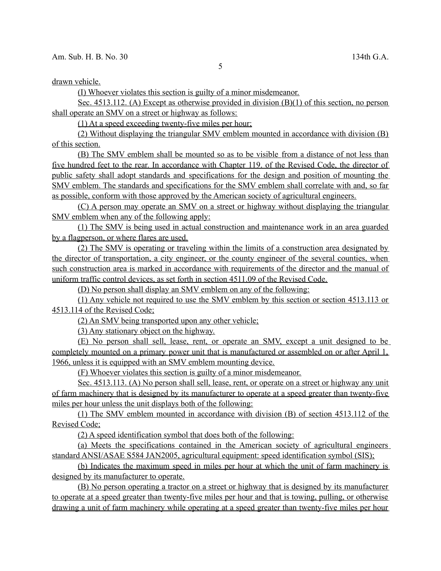drawn vehicle.

(I) Whoever violates this section is guilty of a minor misdemeanor.

Sec. 4513.112. (A) Except as otherwise provided in division (B)(1) of this section, no person shall operate an SMV on a street or highway as follows:

(1) At a speed exceeding twenty-five miles per hour;

(2) Without displaying the triangular SMV emblem mounted in accordance with division (B) of this section.

 (B) The SMV emblem shall be mounted so as to be visible from a distance of not less than five hundred feet to the rear. In accordance with Chapter 119. of the Revised Code, the director of public safety shall adopt standards and specifications for the design and position of mounting the SMV emblem. The standards and specifications for the SMV emblem shall correlate with and, so far as possible, conform with those approved by the American society of agricultural engineers.

(C) A person may operate an SMV on a street or highway without displaying the triangular SMV emblem when any of the following apply:

(1) The SMV is being used in actual construction and maintenance work in an area guarded by a flagperson, or where flares are used.

(2) The SMV is operating or traveling within the limits of a construction area designated by the director of transportation, a city engineer, or the county engineer of the several counties, when such construction area is marked in accordance with requirements of the director and the manual of uniform traffic control devices, as set forth in section 4511.09 of the Revised Code.

(D) No person shall display an SMV emblem on any of the following:

(1) Any vehicle not required to use the SMV emblem by this section or section 4513.113 or 4513.114 of the Revised Code;

(2) An SMV being transported upon any other vehicle;

(3) Any stationary object on the highway.

(E) No person shall sell, lease, rent, or operate an SMV, except a unit designed to be completely mounted on a primary power unit that is manufactured or assembled on or after April 1, 1966, unless it is equipped with an SMV emblem mounting device.

(F) Whoever violates this section is guilty of a minor misdemeanor.

Sec. 4513.113. (A) No person shall sell, lease, rent, or operate on a street or highway any unit of farm machinery that is designed by its manufacturer to operate at a speed greater than twenty-five miles per hour unless the unit displays both of the following:

(1) The SMV emblem mounted in accordance with division (B) of section 4513.112 of the Revised Code;

(2) A speed identification symbol that does both of the following:

(a) Meets the specifications contained in the American society of agricultural engineers standard ANSI/ASAE S584 JAN2005, agricultural equipment: speed identification symbol (SIS);

(b) Indicates the maximum speed in miles per hour at which the unit of farm machinery is designed by its manufacturer to operate.

(B) No person operating a tractor on a street or highway that is designed by its manufacturer to operate at a speed greater than twenty-five miles per hour and that is towing, pulling, or otherwise drawing a unit of farm machinery while operating at a speed greater than twenty-five miles per hour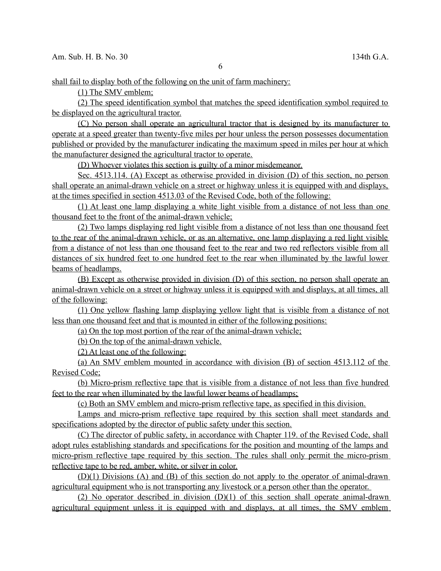shall fail to display both of the following on the unit of farm machinery:

(1) The SMV emblem;

(2) The speed identification symbol that matches the speed identification symbol required to be displayed on the agricultural tractor.

(C) No person shall operate an agricultural tractor that is designed by its manufacturer to operate at a speed greater than twenty-five miles per hour unless the person possesses documentation published or provided by the manufacturer indicating the maximum speed in miles per hour at which the manufacturer designed the agricultural tractor to operate.

(D) Whoever violates this section is guilty of a minor misdemeanor.

 Sec. 4513.114. (A) Except as otherwise provided in division (D) of this section, no person shall operate an animal-drawn vehicle on a street or highway unless it is equipped with and displays, at the times specified in section 4513.03 of the Revised Code, both of the following:

(1) At least one lamp displaying a white light visible from a distance of not less than one thousand feet to the front of the animal-drawn vehicle;

(2) Two lamps displaying red light visible from a distance of not less than one thousand feet to the rear of the animal-drawn vehicle, or as an alternative, one lamp displaying a red light visible from a distance of not less than one thousand feet to the rear and two red reflectors visible from all distances of six hundred feet to one hundred feet to the rear when illuminated by the lawful lower beams of headlamps.

(B) Except as otherwise provided in division (D) of this section, no person shall operate an animal-drawn vehicle on a street or highway unless it is equipped with and displays, at all times, all of the following:

 (1) One yellow flashing lamp displaying yellow light that is visible from a distance of not less than one thousand feet and that is mounted in either of the following positions:

(a) On the top most portion of the rear of the animal-drawn vehicle;

(b) On the top of the animal-drawn vehicle.

(2) At least one of the following:

(a) An SMV emblem mounted in accordance with division (B) of section 4513.112 of the Revised Code;

(b) Micro-prism reflective tape that is visible from a distance of not less than five hundred feet to the rear when illuminated by the lawful lower beams of headlamps;

(c) Both an SMV emblem and micro-prism reflective tape, as specified in this division.

Lamps and micro-prism reflective tape required by this section shall meet standards and specifications adopted by the director of public safety under this section.

(C) The director of public safety, in accordance with Chapter 119. of the Revised Code, shall adopt rules establishing standards and specifications for the position and mounting of the lamps and micro-prism reflective tape required by this section. The rules shall only permit the micro-prism reflective tape to be red, amber, white, or silver in color.

(D)(1) Divisions (A) and (B) of this section do not apply to the operator of animal-drawn agricultural equipment who is not transporting any livestock or a person other than the operator.

 (2) No operator described in division (D)(1) of this section shall operate animal-drawn agricultural equipment unless it is equipped with and displays, at all times, the SMV emblem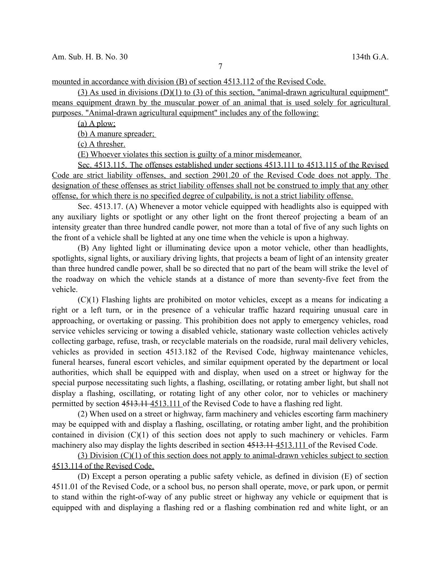7

mounted in accordance with division (B) of section 4513.112 of the Revised Code.

(3) As used in divisions  $(D)(1)$  to (3) of this section, "animal-drawn agricultural equipment" means equipment drawn by the muscular power of an animal that is used solely for agricultural purposes. "Animal-drawn agricultural equipment" includes any of the following:

 $(a)$  A plow;

(b) A manure spreader;

(c) A thresher.

(E) Whoever violates this section is guilty of a minor misdemeanor.

 Sec. 4513.115. The offenses established under sections 4513.111 to 4513.115 of the Revised Code are strict liability offenses, and section 2901.20 of the Revised Code does not apply. The designation of these offenses as strict liability offenses shall not be construed to imply that any other offense, for which there is no specified degree of culpability, is not a strict liability offense.

Sec. 4513.17. (A) Whenever a motor vehicle equipped with headlights also is equipped with any auxiliary lights or spotlight or any other light on the front thereof projecting a beam of an intensity greater than three hundred candle power, not more than a total of five of any such lights on the front of a vehicle shall be lighted at any one time when the vehicle is upon a highway.

(B) Any lighted light or illuminating device upon a motor vehicle, other than headlights, spotlights, signal lights, or auxiliary driving lights, that projects a beam of light of an intensity greater than three hundred candle power, shall be so directed that no part of the beam will strike the level of the roadway on which the vehicle stands at a distance of more than seventy-five feet from the vehicle.

(C)(1) Flashing lights are prohibited on motor vehicles, except as a means for indicating a right or a left turn, or in the presence of a vehicular traffic hazard requiring unusual care in approaching, or overtaking or passing. This prohibition does not apply to emergency vehicles, road service vehicles servicing or towing a disabled vehicle, stationary waste collection vehicles actively collecting garbage, refuse, trash, or recyclable materials on the roadside, rural mail delivery vehicles, vehicles as provided in section 4513.182 of the Revised Code, highway maintenance vehicles, funeral hearses, funeral escort vehicles, and similar equipment operated by the department or local authorities, which shall be equipped with and display, when used on a street or highway for the special purpose necessitating such lights, a flashing, oscillating, or rotating amber light, but shall not display a flashing, oscillating, or rotating light of any other color, nor to vehicles or machinery permitted by section 4513.11-4513.111 of the Revised Code to have a flashing red light.

(2) When used on a street or highway, farm machinery and vehicles escorting farm machinery may be equipped with and display a flashing, oscillating, or rotating amber light, and the prohibition contained in division  $(C)(1)$  of this section does not apply to such machinery or vehicles. Farm machinery also may display the lights described in section 4513.1144513.111 of the Revised Code.

(3) Division (C)(1) of this section does not apply to animal-drawn vehicles subject to section 4513.114 of the Revised Code.

(D) Except a person operating a public safety vehicle, as defined in division (E) of section 4511.01 of the Revised Code, or a school bus, no person shall operate, move, or park upon, or permit to stand within the right-of-way of any public street or highway any vehicle or equipment that is equipped with and displaying a flashing red or a flashing combination red and white light, or an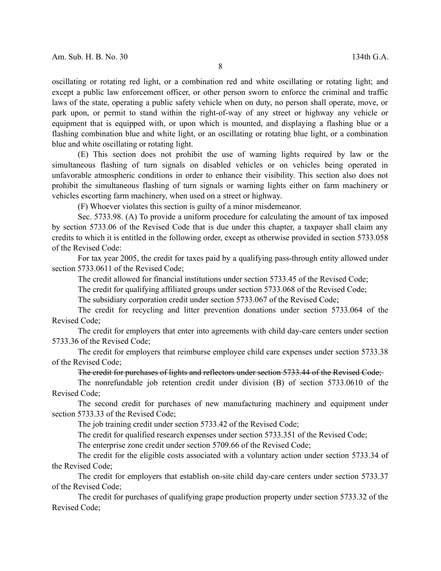8

oscillating or rotating red light, or a combination red and white oscillating or rotating light; and except a public law enforcement officer, or other person sworn to enforce the criminal and traffic laws of the state, operating a public safety vehicle when on duty, no person shall operate, move, or park upon, or permit to stand within the right-of-way of any street or highway any vehicle or equipment that is equipped with, or upon which is mounted, and displaying a flashing blue or a flashing combination blue and white light, or an oscillating or rotating blue light, or a combination blue and white oscillating or rotating light.

(E) This section does not prohibit the use of warning lights required by law or the simultaneous flashing of turn signals on disabled vehicles or on vehicles being operated in unfavorable atmospheric conditions in order to enhance their visibility. This section also does not prohibit the simultaneous flashing of turn signals or warning lights either on farm machinery or vehicles escorting farm machinery, when used on a street or highway.

(F) Whoever violates this section is guilty of a minor misdemeanor.

Sec. 5733.98. (A) To provide a uniform procedure for calculating the amount of tax imposed by section 5733.06 of the Revised Code that is due under this chapter, a taxpayer shall claim any credits to which it is entitled in the following order, except as otherwise provided in section 5733.058 of the Revised Code:

For tax year 2005, the credit for taxes paid by a qualifying pass-through entity allowed under section 5733.0611 of the Revised Code;

The credit allowed for financial institutions under section 5733.45 of the Revised Code;

The credit for qualifying affiliated groups under section 5733.068 of the Revised Code;

The subsidiary corporation credit under section 5733.067 of the Revised Code;

The credit for recycling and litter prevention donations under section 5733.064 of the Revised Code;

The credit for employers that enter into agreements with child day-care centers under section 5733.36 of the Revised Code;

The credit for employers that reimburse employee child care expenses under section 5733.38 of the Revised Code;

## The credit for purchases of lights and reflectors under section 5733.44 of the Revised Code;

The nonrefundable job retention credit under division (B) of section 5733.0610 of the Revised Code;

The second credit for purchases of new manufacturing machinery and equipment under section 5733.33 of the Revised Code;

The job training credit under section 5733.42 of the Revised Code;

The credit for qualified research expenses under section 5733.351 of the Revised Code;

The enterprise zone credit under section 5709.66 of the Revised Code;

The credit for the eligible costs associated with a voluntary action under section 5733.34 of the Revised Code;

The credit for employers that establish on-site child day-care centers under section 5733.37 of the Revised Code;

The credit for purchases of qualifying grape production property under section 5733.32 of the Revised Code;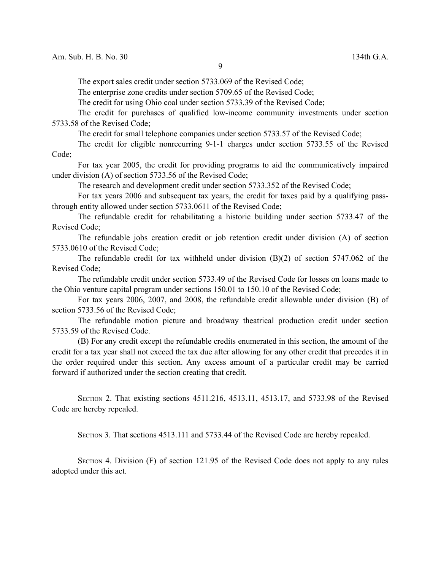The export sales credit under section 5733.069 of the Revised Code;

The enterprise zone credits under section 5709.65 of the Revised Code;

The credit for using Ohio coal under section 5733.39 of the Revised Code;

The credit for purchases of qualified low-income community investments under section 5733.58 of the Revised Code;

The credit for small telephone companies under section 5733.57 of the Revised Code;

The credit for eligible nonrecurring 9-1-1 charges under section 5733.55 of the Revised Code;

For tax year 2005, the credit for providing programs to aid the communicatively impaired under division (A) of section 5733.56 of the Revised Code;

The research and development credit under section 5733.352 of the Revised Code;

For tax years 2006 and subsequent tax years, the credit for taxes paid by a qualifying passthrough entity allowed under section 5733.0611 of the Revised Code;

The refundable credit for rehabilitating a historic building under section 5733.47 of the Revised Code;

The refundable jobs creation credit or job retention credit under division (A) of section 5733.0610 of the Revised Code;

The refundable credit for tax withheld under division (B)(2) of section 5747.062 of the Revised Code;

The refundable credit under section 5733.49 of the Revised Code for losses on loans made to the Ohio venture capital program under sections 150.01 to 150.10 of the Revised Code;

For tax years 2006, 2007, and 2008, the refundable credit allowable under division (B) of section 5733.56 of the Revised Code;

The refundable motion picture and broadway theatrical production credit under section 5733.59 of the Revised Code.

(B) For any credit except the refundable credits enumerated in this section, the amount of the credit for a tax year shall not exceed the tax due after allowing for any other credit that precedes it in the order required under this section. Any excess amount of a particular credit may be carried forward if authorized under the section creating that credit.

SECTION 2. That existing sections 4511.216, 4513.11, 4513.17, and 5733.98 of the Revised Code are hereby repealed.

SECTION 3. That sections 4513.111 and 5733.44 of the Revised Code are hereby repealed.

SECTION 4. Division (F) of section 121.95 of the Revised Code does not apply to any rules adopted under this act.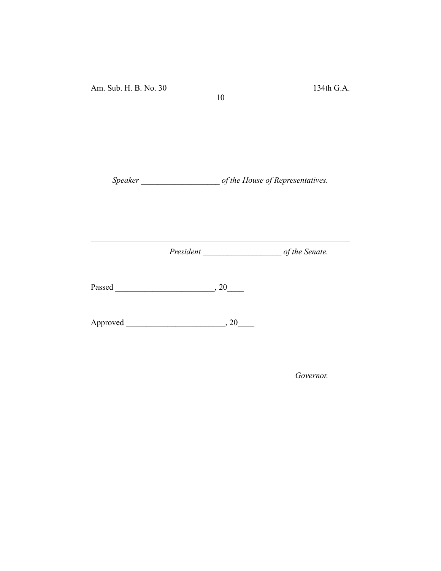*Speaker \_\_\_\_\_\_\_\_\_\_\_\_\_\_\_\_\_\_\_ of the House of Representatives.*

10

*President \_\_\_\_\_\_\_\_\_\_\_\_\_\_\_\_\_\_\_ of the Senate.*

Passed \_\_\_\_\_\_\_\_\_\_\_\_\_\_\_\_\_\_\_\_\_\_\_\_, 20\_\_\_\_

Approved \_\_\_\_\_\_\_\_\_\_\_\_\_\_\_\_\_\_\_\_\_\_\_\_, 20\_\_\_\_

*Governor.*